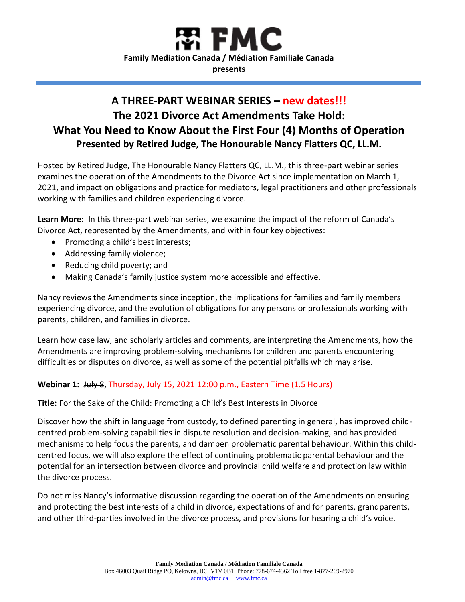

# **A THREE-PART WEBINAR SERIES – new dates!!! The 2021 Divorce Act Amendments Take Hold: What You Need to Know About the First Four (4) Months of Operation Presented by Retired Judge, The Honourable Nancy Flatters QC, LL.M.**

Hosted by Retired Judge, The Honourable Nancy Flatters QC, LL.M., this three-part webinar series examines the operation of the Amendments to the Divorce Act since implementation on March 1, 2021, and impact on obligations and practice for mediators, legal practitioners and other professionals working with families and children experiencing divorce.

**Learn More:** In this three-part webinar series, we examine the impact of the reform of Canada's Divorce Act, represented by the Amendments, and within four key objectives:

- Promoting a child's best interests;
- Addressing family violence;
- Reducing child poverty; and
- Making Canada's family justice system more accessible and effective.

Nancy reviews the Amendments since inception, the implications for families and family members experiencing divorce, and the evolution of obligations for any persons or professionals working with parents, children, and families in divorce.

Learn how case law, and scholarly articles and comments, are interpreting the Amendments, how the Amendments are improving problem-solving mechanisms for children and parents encountering difficulties or disputes on divorce, as well as some of the potential pitfalls which may arise.

#### **Webinar 1:** July 8, Thursday, July 15, 2021 12:00 p.m., Eastern Time (1.5 Hours)

**Title:** For the Sake of the Child: Promoting a Child's Best Interests in Divorce

Discover how the shift in language from custody, to defined parenting in general, has improved childcentred problem-solving capabilities in dispute resolution and decision-making, and has provided mechanisms to help focus the parents, and dampen problematic parental behaviour. Within this childcentred focus, we will also explore the effect of continuing problematic parental behaviour and the potential for an intersection between divorce and provincial child welfare and protection law within the divorce process.

Do not miss Nancy's informative discussion regarding the operation of the Amendments on ensuring and protecting the best interests of a child in divorce, expectations of and for parents, grandparents, and other third-parties involved in the divorce process, and provisions for hearing a child's voice.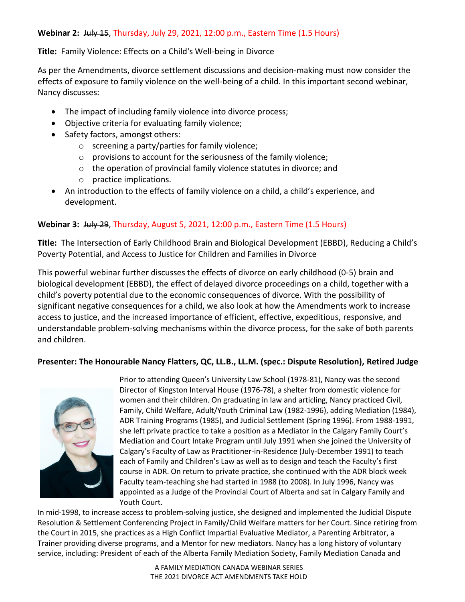# **Webinar 2:** July 15, Thursday, July 29, 2021, 12:00 p.m., Eastern Time (1.5 Hours)

#### **Title:** Family Violence: Effects on a Child's Well-being in Divorce

As per the Amendments, divorce settlement discussions and decision-making must now consider the effects of exposure to family violence on the well-being of a child. In this important second webinar, Nancy discusses:

- The impact of including family violence into divorce process;
- Objective criteria for evaluating family violence;
- Safety factors, amongst others:
	- o screening a party/parties for family violence;
	- o provisions to account for the seriousness of the family violence;
	- o the operation of provincial family violence statutes in divorce; and
	- o practice implications.
- An introduction to the effects of family violence on a child, a child's experience, and development.

## **Webinar 3:** July 29, Thursday, August 5, 2021, 12:00 p.m., Eastern Time (1.5 Hours)

**Title:** The Intersection of Early Childhood Brain and Biological Development (EBBD), Reducing a Child's Poverty Potential, and Access to Justice for Children and Families in Divorce

This powerful webinar further discusses the effects of divorce on early childhood (0-5) brain and biological development (EBBD), the effect of delayed divorce proceedings on a child, together with a child's poverty potential due to the economic consequences of divorce. With the possibility of significant negative consequences for a child, we also look at how the Amendments work to increase access to justice, and the increased importance of efficient, effective, expeditious, responsive, and understandable problem-solving mechanisms within the divorce process, for the sake of both parents and children.

#### **Presenter: The Honourable Nancy Flatters, QC, LL.B., LL.M. (spec.: Dispute Resolution), Retired Judge**



Prior to attending Queen's University Law School (1978-81), Nancy was the second Director of Kingston Interval House (1976-78), a shelter from domestic violence for women and their children. On graduating in law and articling, Nancy practiced Civil, Family, Child Welfare, Adult/Youth Criminal Law (1982-1996), adding Mediation (1984), ADR Training Programs (1985), and Judicial Settlement (Spring 1996). From 1988-1991, she left private practice to take a position as a Mediator in the Calgary Family Court's Mediation and Court Intake Program until July 1991 when she joined the University of Calgary's Faculty of Law as Practitioner-in-Residence (July-December 1991) to teach each of Family and Children's Law as well as to design and teach the Faculty's first course in ADR. On return to private practice, she continued with the ADR block week Faculty team-teaching she had started in 1988 (to 2008). In July 1996, Nancy was appointed as a Judge of the Provincial Court of Alberta and sat in Calgary Family and Youth Court.

In mid-1998, to increase access to problem-solving justice, she designed and implemented the Judicial Dispute Resolution & Settlement Conferencing Project in Family/Child Welfare matters for her Court. Since retiring from the Court in 2015, she practices as a High Conflict Impartial Evaluative Mediator, a Parenting Arbitrator, a Trainer providing diverse programs, and a Mentor for new mediators. Nancy has a long history of voluntary service, including: President of each of the Alberta Family Mediation Society, Family Mediation Canada and